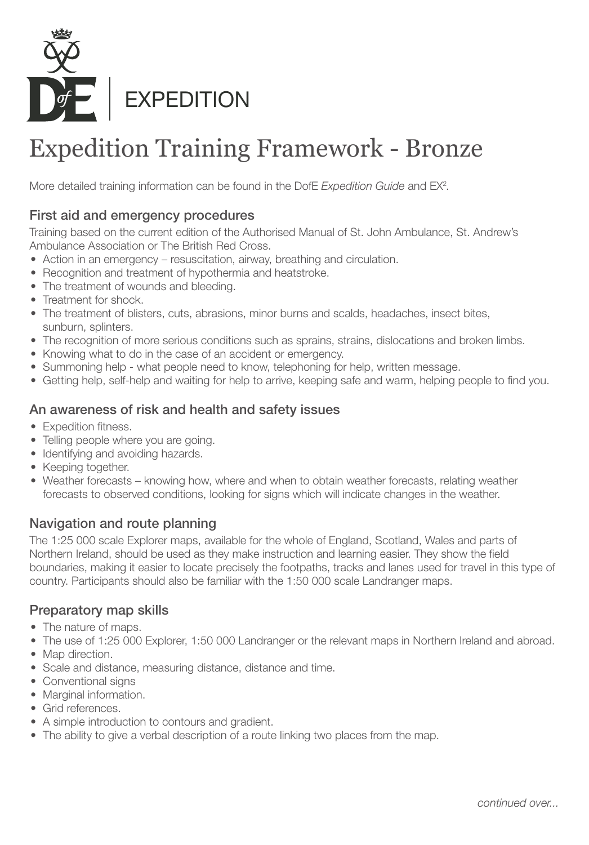

# Expedition Training Framework - Bronze

More detailed training information can be found in the DofE Expedition Guide and EX<sup>2</sup>.

## First aid and emergency procedures

Training based on the current edition of the Authorised Manual of St. John Ambulance, St. Andrew's Ambulance Association or The British Red Cross.

- Action in an emergency resuscitation, airway, breathing and circulation.
- Recognition and treatment of hypothermia and heatstroke.
- The treatment of wounds and bleeding.
- Treatment for shock.
- The treatment of blisters, cuts, abrasions, minor burns and scalds, headaches, insect bites, sunburn, splinters.
- The recognition of more serious conditions such as sprains, strains, dislocations and broken limbs.
- Knowing what to do in the case of an accident or emergency.
- Summoning help what people need to know, telephoning for help, written message.
- Getting help, self-help and waiting for help to arrive, keeping safe and warm, helping people to find you.

## An awareness of risk and health and safety issues

- Expedition fitness.
- Telling people where you are going.
- Identifying and avoiding hazards.
- Keeping together.
- Weather forecasts knowing how, where and when to obtain weather forecasts, relating weather forecasts to observed conditions, looking for signs which will indicate changes in the weather.

## Navigation and route planning

The 1:25 000 scale Explorer maps, available for the whole of England, Scotland, Wales and parts of Northern Ireland, should be used as they make instruction and learning easier. They show the field boundaries, making it easier to locate precisely the footpaths, tracks and lanes used for travel in this type of country. Participants should also be familiar with the 1:50 000 scale Landranger maps.

## Preparatory map skills

- The nature of maps.
- The use of 1:25 000 Explorer, 1:50 000 Landranger or the relevant maps in Northern Ireland and abroad.
- Map direction.
- Scale and distance, measuring distance, distance and time.
- Conventional signs
- Marginal information.
- Grid references.
- A simple introduction to contours and gradient.
- The ability to give a verbal description of a route linking two places from the map.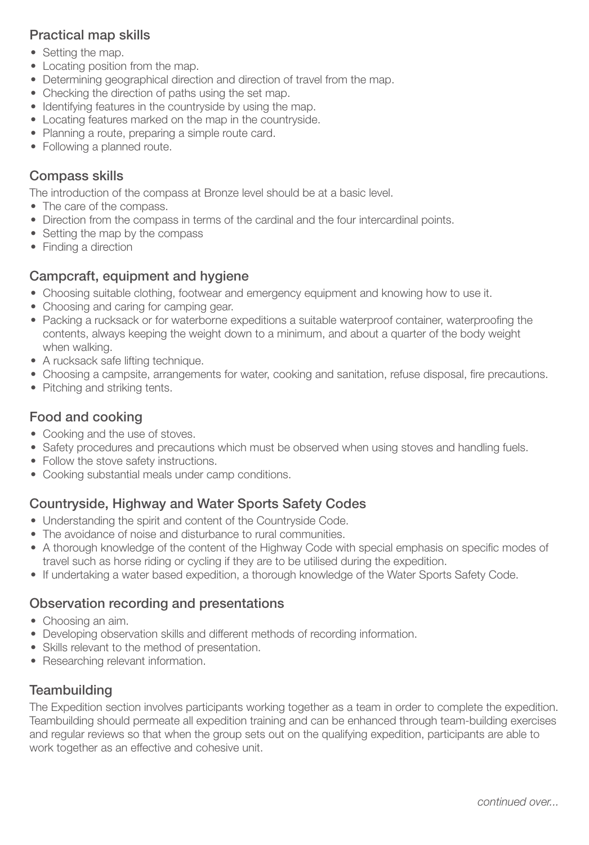### Practical map skills

- Setting the map.
- Locating position from the map.
- Determining geographical direction and direction of travel from the map.
- Checking the direction of paths using the set map.
- Identifying features in the countryside by using the map.
- Locating features marked on the map in the countryside.
- Planning a route, preparing a simple route card.
- Following a planned route.

### Compass skills

The introduction of the compass at Bronze level should be at a basic level.

- The care of the compass.
- Direction from the compass in terms of the cardinal and the four intercardinal points.
- Setting the map by the compass
- Finding a direction

## Campcraft, equipment and hygiene

- Choosing suitable clothing, footwear and emergency equipment and knowing how to use it.
- Choosing and caring for camping gear.
- Packing a rucksack or for waterborne expeditions a suitable waterproof container, waterproofing the contents, always keeping the weight down to a minimum, and about a quarter of the body weight when walking.
- A rucksack safe lifting technique.
- Choosing a campsite, arrangements for water, cooking and sanitation, refuse disposal, fire precautions.
- Pitching and striking tents.

# Food and cooking

- Cooking and the use of stoves.
- Safety procedures and precautions which must be observed when using stoves and handling fuels.
- Follow the stove safety instructions.
- Cooking substantial meals under camp conditions.

# Countryside, Highway and Water Sports Safety Codes

- Understanding the spirit and content of the Countryside Code.
- The avoidance of noise and disturbance to rural communities.
- A thorough knowledge of the content of the Highway Code with special emphasis on specific modes of travel such as horse riding or cycling if they are to be utilised during the expedition.
- If undertaking a water based expedition, a thorough knowledge of the Water Sports Safety Code.

## Observation recording and presentations

- Choosing an aim.
- Developing observation skills and different methods of recording information.
- Skills relevant to the method of presentation.
- Researching relevant information.

#### **Teambuilding**

The Expedition section involves participants working together as a team in order to complete the expedition. Teambuilding should permeate all expedition training and can be enhanced through team-building exercises and regular reviews so that when the group sets out on the qualifying expedition, participants are able to work together as an effective and cohesive unit.